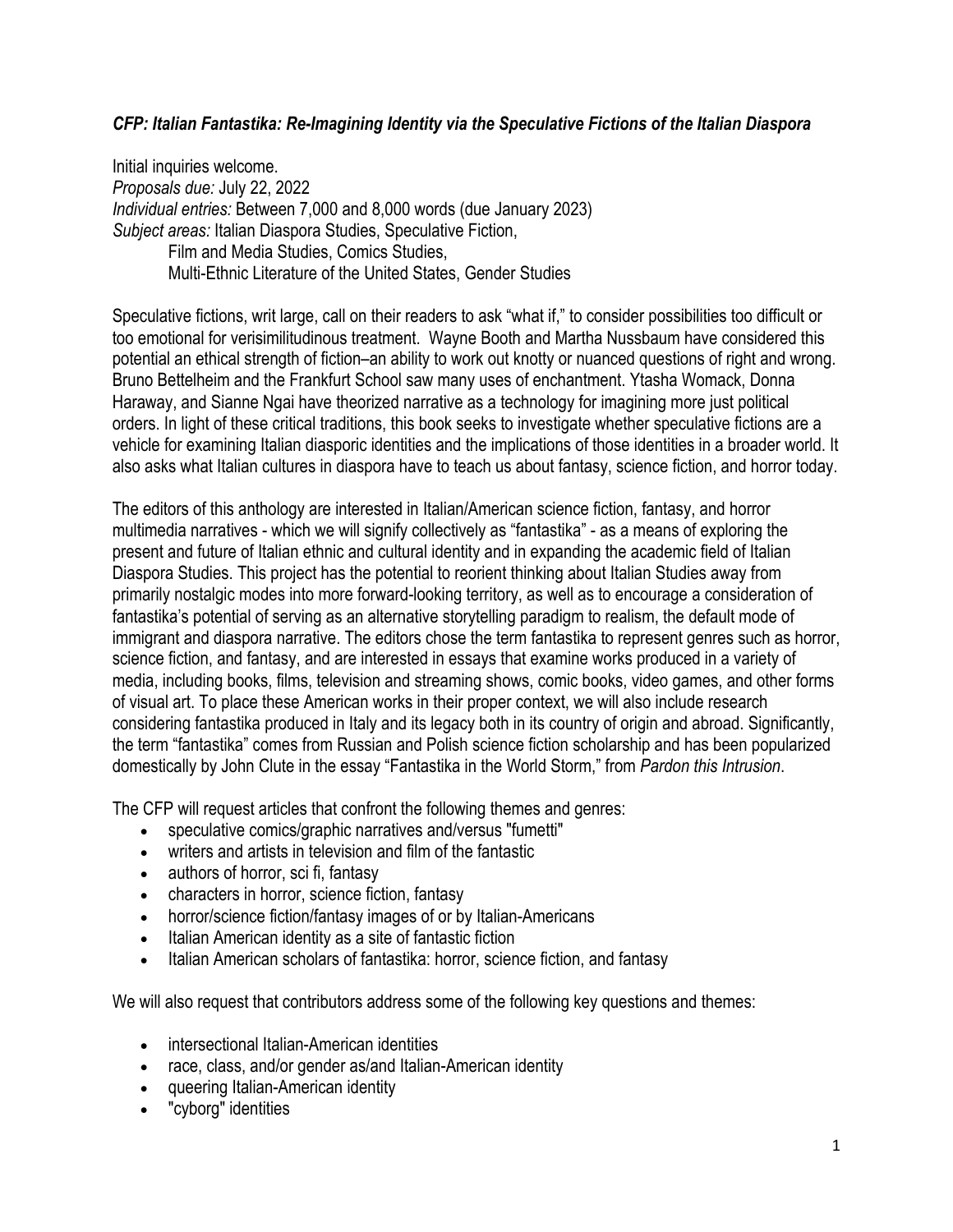## *CFP: Italian Fantastika: Re-Imagining Identity via the Speculative Fictions of the Italian Diaspora*

Initial inquiries welcome. *Proposals due:* July 22, 2022 *Individual entries:* Between 7,000 and 8,000 words (due January 2023) *Subject areas:* Italian Diaspora Studies, Speculative Fiction, Film and Media Studies, Comics Studies, Multi-Ethnic Literature of the United States, Gender Studies

Speculative fictions, writ large, call on their readers to ask "what if," to consider possibilities too difficult or too emotional for verisimilitudinous treatment. Wayne Booth and Martha Nussbaum have considered this potential an ethical strength of fiction–an ability to work out knotty or nuanced questions of right and wrong. Bruno Bettelheim and the Frankfurt School saw many uses of enchantment. Ytasha Womack, Donna Haraway, and Sianne Ngai have theorized narrative as a technology for imagining more just political orders. In light of these critical traditions, this book seeks to investigate whether speculative fictions are a vehicle for examining Italian diasporic identities and the implications of those identities in a broader world. It also asks what Italian cultures in diaspora have to teach us about fantasy, science fiction, and horror today.

The editors of this anthology are interested in Italian/American science fiction, fantasy, and horror multimedia narratives - which we will signify collectively as "fantastika" - as a means of exploring the present and future of Italian ethnic and cultural identity and in expanding the academic field of Italian Diaspora Studies. This project has the potential to reorient thinking about Italian Studies away from primarily nostalgic modes into more forward-looking territory, as well as to encourage a consideration of fantastika's potential of serving as an alternative storytelling paradigm to realism, the default mode of immigrant and diaspora narrative. The editors chose the term fantastika to represent genres such as horror, science fiction, and fantasy, and are interested in essays that examine works produced in a variety of media, including books, films, television and streaming shows, comic books, video games, and other forms of visual art. To place these American works in their proper context, we will also include research considering fantastika produced in Italy and its legacy both in its country of origin and abroad. Significantly, the term "fantastika" comes from Russian and Polish science fiction scholarship and has been popularized domestically by John Clute in the essay "Fantastika in the World Storm," from *Pardon this Intrusion*.

The CFP will request articles that confront the following themes and genres:

- speculative comics/graphic narratives and/versus "fumetti"
- writers and artists in television and film of the fantastic
- authors of horror, sci fi, fantasy
- characters in horror, science fiction, fantasy
- horror/science fiction/fantasy images of or by Italian-Americans
- Italian American identity as a site of fantastic fiction
- Italian American scholars of fantastika: horror, science fiction, and fantasy

We will also request that contributors address some of the following key questions and themes:

- intersectional Italian-American identities
- race, class, and/or gender as/and Italian-American identity
- queering Italian-American identity
- "cyborg" identities